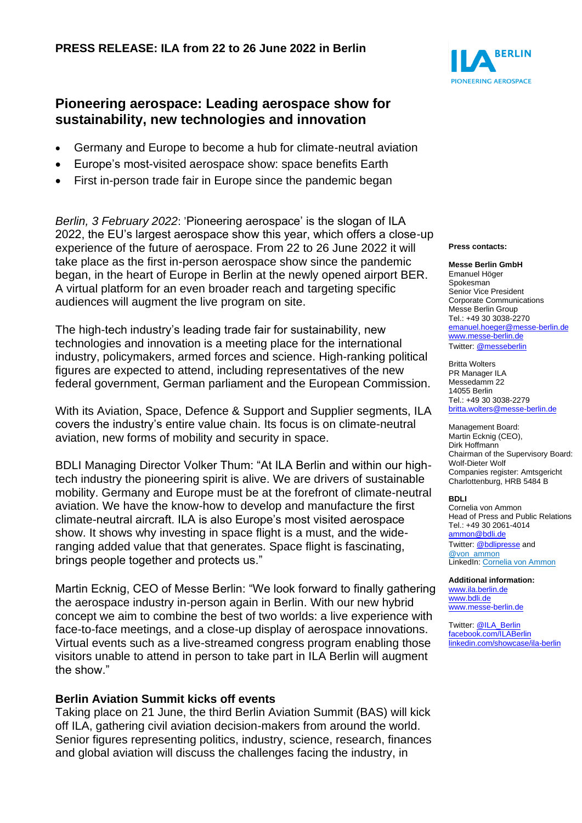# **Pioneering aerospace: Leading aerospace show for sustainability, new technologies and innovation**

- Germany and Europe to become a hub for climate-neutral aviation
- Europe's most-visited aerospace show: space benefits Earth
- First in-person trade fair in Europe since the pandemic began

*Berlin, 3 February 2022*: 'Pioneering aerospace' is the slogan of ILA 2022, the EU's largest aerospace show this year, which offers a close-up experience of the future of aerospace. From 22 to 26 June 2022 it will take place as the first in-person aerospace show since the pandemic began, in the heart of Europe in Berlin at the newly opened airport BER. A virtual platform for an even broader reach and targeting specific audiences will augment the live program on site.

The high-tech industry's leading trade fair for sustainability, new technologies and innovation is a meeting place for the international industry, policymakers, armed forces and science. High-ranking political figures are expected to attend, including representatives of the new federal government, German parliament and the European Commission.

With its Aviation, Space, Defence & Support and Supplier segments, ILA covers the industry's entire value chain. Its focus is on climate-neutral aviation, new forms of mobility and security in space.

BDLI Managing Director Volker Thum: "At ILA Berlin and within our hightech industry the pioneering spirit is alive. We are drivers of sustainable mobility. Germany and Europe must be at the forefront of climate-neutral aviation. We have the know-how to develop and manufacture the first climate-neutral aircraft. ILA is also Europe's most visited aerospace show. It shows why investing in space flight is a must, and the wideranging added value that that generates. Space flight is fascinating, brings people together and protects us."

Martin Ecknig, CEO of Messe Berlin: "We look forward to finally gathering the aerospace industry in-person again in Berlin. With our new hybrid concept we aim to combine the best of two worlds: a live experience with face-to-face meetings, and a close-up display of aerospace innovations. Virtual events such as a live-streamed congress program enabling those visitors unable to attend in person to take part in ILA Berlin will augment the show."

### **Berlin Aviation Summit kicks off events**

Taking place on 21 June, the third Berlin Aviation Summit (BAS) will kick off ILA, gathering civil aviation decision-makers from around the world. Senior figures representing politics, industry, science, research, finances and global aviation will discuss the challenges facing the industry, in



### **Press contacts:**

#### **Messe Berlin GmbH**

Emanuel Höger Spokesman Senior Vice President Corporate Communications Messe Berlin Group Tel.: +49 30 3038-2270 [emanuel.hoeger@messe-berlin.de](mailto:emanuel.hoeger@messe-berlin.de) [www.messe-berlin.de](http://www.messe-berlin.de/) Twitter[: @messeberlin](https://twitter.com/messeberlin)

Britta Wolters PR Manager ILA Messedamm 22 14055 Berlin Tel.: +49 30 3038-2279 [britta.wolters@messe-berlin.de](mailto:britta.wolters@messe-berlin.de)

Management Board: Martin Ecknig (CEO), Dirk Hoffmann Chairman of the Supervisory Board: Wolf-Dieter Wolf Companies register: Amtsgericht Charlottenburg, HRB 5484 B

#### **BDLI**

Cornelia von Ammon Head of Press and Public Relations Tel.: +49 30 2061-4014 [ammon@bdli.de](mailto:von.ammon@bdli.de) Twitter: [@bdlipresse](https://twitter.com/bdlipresse?lang=de) and [@von\\_ammon](https://twitter.com/von_ammon) LinkedIn: [Cornelia von Ammon](https://www.linkedin.com/in/cornelia-von-ammon/)

### **Additional information:**

[www.ila.berlin.de](http://www.ila.berlin.de/) [www.bdli.de](http://www.bdli.de/) [www.messe-berlin.de](http://www.messe-berlin.de/)

Twitter[: @ILA\\_Berlin](https://twitter.com/ila_berlin?lang=de) [facebook.com/ILABerlin](file:///C:/Users/One/AppData/Local/AppData/Local/Microsoft/Windows/INetCache/Content.Outlook/NIXZO984/facebook.com/ILABerlin%0bhttps:/www.linkedin.com/showcase/ila-berlin) [linkedin.com/showcase/ila-berlin](https://www.linkedin.com/showcase/ila-berlin)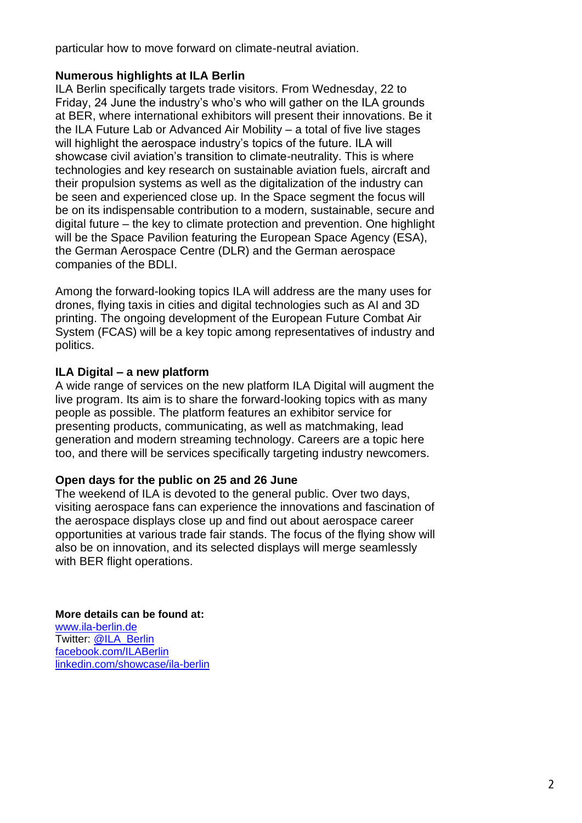particular how to move forward on climate-neutral aviation.

## **Numerous highlights at ILA Berlin**

ILA Berlin specifically targets trade visitors. From Wednesday, 22 to Friday, 24 June the industry's who's who will gather on the ILA grounds at BER, where international exhibitors will present their innovations. Be it the ILA Future Lab or Advanced Air Mobility – a total of five live stages will highlight the aerospace industry's topics of the future. ILA will showcase civil aviation's transition to climate-neutrality. This is where technologies and key research on sustainable aviation fuels, aircraft and their propulsion systems as well as the digitalization of the industry can be seen and experienced close up. In the Space segment the focus will be on its indispensable contribution to a modern, sustainable, secure and digital future – the key to climate protection and prevention. One highlight will be the Space Pavilion featuring the European Space Agency (ESA), the German Aerospace Centre (DLR) and the German aerospace companies of the BDLI.

Among the forward-looking topics ILA will address are the many uses for drones, flying taxis in cities and digital technologies such as AI and 3D printing. The ongoing development of the European Future Combat Air System (FCAS) will be a key topic among representatives of industry and politics.

## **ILA Digital – a new platform**

A wide range of services on the new platform ILA Digital will augment the live program. Its aim is to share the forward-looking topics with as many people as possible. The platform features an exhibitor service for presenting products, communicating, as well as matchmaking, lead generation and modern streaming technology. Careers are a topic here too, and there will be services specifically targeting industry newcomers.

### **Open days for the public on 25 and 26 June**

The weekend of ILA is devoted to the general public. Over two days, visiting aerospace fans can experience the innovations and fascination of the aerospace displays close up and find out about aerospace career opportunities at various trade fair stands. The focus of the flying show will also be on innovation, and its selected displays will merge seamlessly with BER flight operations.

### **More details can be found at:**

[www.ila-berlin.de](http://www.ila-berlin.de/) Twitter: [@ILA\\_Berlin](https://twitter.com/ila_berlin?lang=de) [facebook.com/ILABerlin](http://facebook.com/ILABerlin) [linkedin.com/showcase/ila-berlin](https://www.linkedin.com/showcase/ila-berlin)